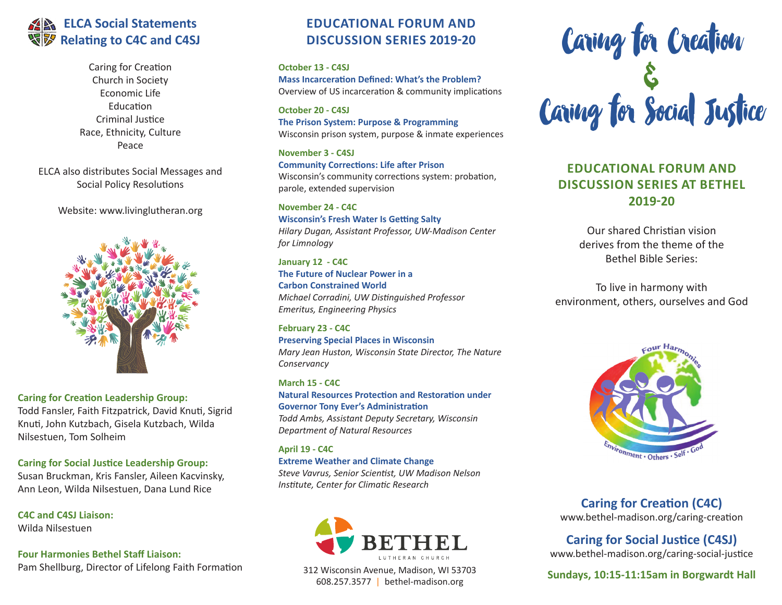# **ELCA Social Statements Relating to C4C and C4SJ**

Caring for Creation Church in Society Economic Life Education Criminal Justice Race, Ethnicity, Culture Peace

ELCA also distributes Social Messages and Social Policy Resolutions

Website: www.livinglutheran.org



**Caring for Creation Leadership Group:** Todd Fansler, Faith Fitzpatrick, David Knuti, Sigrid Knuti, John Kutzbach, Gisela Kutzbach, Wilda Nilsestuen, Tom Solheim

**Caring for Social Justice Leadership Group:** Susan Bruckman, Kris Fansler, Aileen Kacvinsky, Ann Leon, Wilda Nilsestuen, Dana Lund Rice

**C4C and C4SJ Liaison:** Wilda Nilsestuen

**Four Harmonies Bethel Staff Liaison:** Pam Shellburg, Director of Lifelong Faith Formation

### **EDUCATIONAL FORUM AND DISCUSSION SERIES 2019-20**

**October 13 - C4SJ Mass Incarceration Defined: What's the Problem?** Overview of US incarceration & community implications

**October 20 - C4SJ The Prison System: Purpose & Programming**  Wisconsin prison system, purpose & inmate experiences

**November 3 - C4SJ Community Corrections: Life after Prison**  Wisconsin's community corrections system: probation, parole, extended supervision

**November 24 - C4C Wisconsin's Fresh Water Is Getting Salty**  *Hilary Dugan, Assistant Professor, UW-Madison Center for Limnology*

**January 12 - C4C The Future of Nuclear Power in a Carbon Constrained World**  *Michael Corradini, UW Distinguished Professor Emeritus, Engineering Physics*

**February 23 - C4C Preserving Special Places in Wisconsin**  *Mary Jean Huston, Wisconsin State Director, The Nature Conservancy* 

**March 15 - C4C Natural Resources Protection and Restoration under Governor Tony Ever's Administration**  *Todd Ambs, Assistant Deputy Secretary, Wisconsin Department of Natural Resources*

**April 19 - C4C Extreme Weather and Climate Change**  *Steve Vavrus, Senior Scientist, UW Madison Nelson Institute, Center for Climatic Research*



312 Wisconsin Avenue, Madison, WI 53703 608.257.3577 | bethel-madison.org



# **EDUCATIONAL FORUM AND DISCUSSION SERIES AT BETHEL 2019-20**

Our shared Christian vision derives from the theme of the Bethel Bible Series:

To live in harmony with environment, others, ourselves and God



**Caring for Creation (C4C)** www.bethel-madison.org/caring-creation

**Caring for Social Justice (C4SJ)** www.bethel-madison.org/caring-social-justice

**Sundays, 10:15-11:15am in Borgwardt Hall**